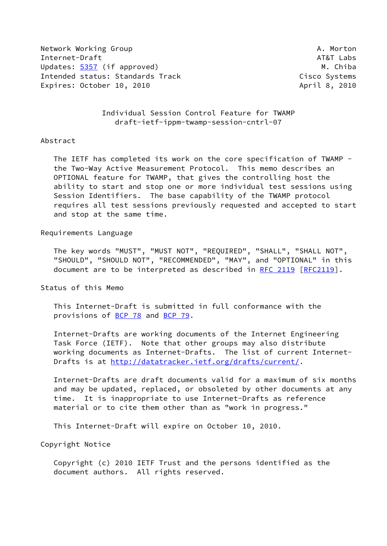Network Working Group **A. Morton** A. Morton Internet-Draft AT&T Labs Updates: [5357](https://datatracker.ietf.org/doc/pdf/rfc5357) (if approved) M. Chiba Intended status: Standards Track Cisco Systems Expires: October 10, 2010 **April 8, 2010** April 8, 2010

 Individual Session Control Feature for TWAMP draft-ietf-ippm-twamp-session-cntrl-07

## Abstract

 The IETF has completed its work on the core specification of TWAMP the Two-Way Active Measurement Protocol. This memo describes an OPTIONAL feature for TWAMP, that gives the controlling host the ability to start and stop one or more individual test sessions using Session Identifiers. The base capability of the TWAMP protocol requires all test sessions previously requested and accepted to start and stop at the same time.

Requirements Language

 The key words "MUST", "MUST NOT", "REQUIRED", "SHALL", "SHALL NOT", "SHOULD", "SHOULD NOT", "RECOMMENDED", "MAY", and "OPTIONAL" in this document are to be interpreted as described in [RFC 2119 \[RFC2119](https://datatracker.ietf.org/doc/pdf/rfc2119)].

Status of this Memo

 This Internet-Draft is submitted in full conformance with the provisions of [BCP 78](https://datatracker.ietf.org/doc/pdf/bcp78) and [BCP 79](https://datatracker.ietf.org/doc/pdf/bcp79).

 Internet-Drafts are working documents of the Internet Engineering Task Force (IETF). Note that other groups may also distribute working documents as Internet-Drafts. The list of current Internet- Drafts is at<http://datatracker.ietf.org/drafts/current/>.

 Internet-Drafts are draft documents valid for a maximum of six months and may be updated, replaced, or obsoleted by other documents at any time. It is inappropriate to use Internet-Drafts as reference material or to cite them other than as "work in progress."

This Internet-Draft will expire on October 10, 2010.

Copyright Notice

 Copyright (c) 2010 IETF Trust and the persons identified as the document authors. All rights reserved.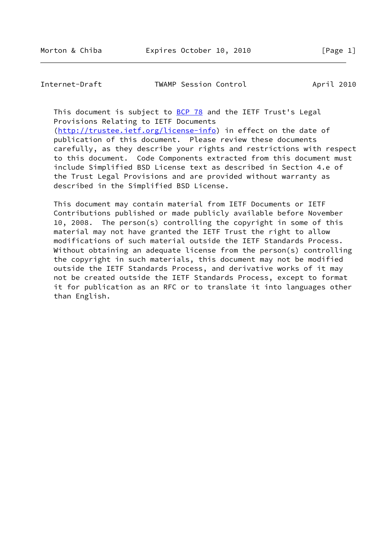Internet-Draft TWAMP Session Control April 2010

This document is subject to [BCP 78](https://datatracker.ietf.org/doc/pdf/bcp78) and the IETF Trust's Legal Provisions Relating to IETF Documents

[\(http://trustee.ietf.org/license-info](http://trustee.ietf.org/license-info)) in effect on the date of publication of this document. Please review these documents carefully, as they describe your rights and restrictions with respect to this document. Code Components extracted from this document must include Simplified BSD License text as described in Section 4.e of the Trust Legal Provisions and are provided without warranty as described in the Simplified BSD License.

 This document may contain material from IETF Documents or IETF Contributions published or made publicly available before November 10, 2008. The person(s) controlling the copyright in some of this material may not have granted the IETF Trust the right to allow modifications of such material outside the IETF Standards Process. Without obtaining an adequate license from the person(s) controlling the copyright in such materials, this document may not be modified outside the IETF Standards Process, and derivative works of it may not be created outside the IETF Standards Process, except to format it for publication as an RFC or to translate it into languages other than English.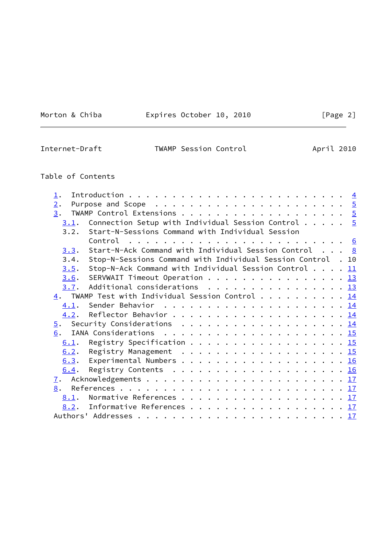<u> 1980 - Johann Barbara, martxa a</u>

Morton & Chiba **Expires October 10, 2010** 

| $\epsilon$<br>п |  |
|-----------------|--|
|-----------------|--|

| Internet-Draft | TWAMP Session Control | April 2010 |
|----------------|-----------------------|------------|
|                |                       |            |

# Table of Contents

| 1.               |                                                                                  |  |
|------------------|----------------------------------------------------------------------------------|--|
| 2.               | Purpose and Scope $\ldots \ldots \ldots \ldots \ldots \ldots \ldots \frac{5}{2}$ |  |
| 3.               |                                                                                  |  |
| 3.1.             | Connection Setup with Individual Session Control $\cdots$ $\cdots$ 5             |  |
| 3.2.             | Start-N-Sessions Command with Individual Session                                 |  |
|                  | Control                                                                          |  |
| 3.3.             | Start-N-Ack Command with Individual Session Control $\ldots$ 8                   |  |
| 3.4.             | Stop-N-Sessions Command with Individual Session Control . 10                     |  |
| 3.5.             | Stop-N-Ack Command with Individual Session Control $11$                          |  |
| 3.6.             | SERVWAIT Timeout Operation 13                                                    |  |
|                  | 3.7. Additional considerations 13                                                |  |
|                  | $\underline{4}$ . TWAMP Test with Individual Session Control 14                  |  |
| 4.1.             |                                                                                  |  |
| 4.2.             |                                                                                  |  |
| $\overline{5}$ . |                                                                                  |  |
| 6.               |                                                                                  |  |
| 6.1.             | Registry Specification 15                                                        |  |
| 6.2.             | Registry Management 15                                                           |  |
|                  | 6.3. Experimental Numbers 16                                                     |  |
| 6.4.             |                                                                                  |  |
| 7.               |                                                                                  |  |
|                  |                                                                                  |  |
| 8.               |                                                                                  |  |
| 8.1.             | Normative References 17                                                          |  |
|                  | 8.2. Informative References 17                                                   |  |
|                  |                                                                                  |  |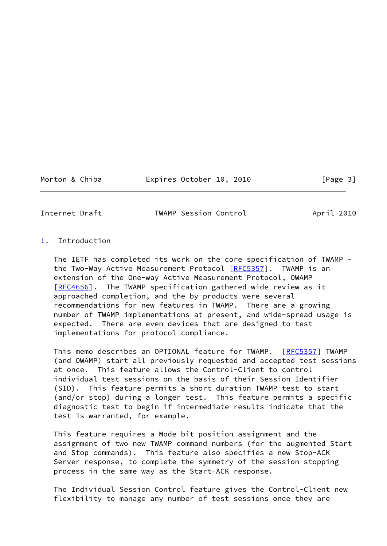Morton & Chiba **Expires October 10, 2010** [Page 3]

<span id="page-3-1"></span>

Internet-Draft TWAMP Session Control April 2010

# <span id="page-3-0"></span>[1](#page-3-0). Introduction

 The IETF has completed its work on the core specification of TWAMP - the Two-Way Active Measurement Protocol [\[RFC5357](https://datatracker.ietf.org/doc/pdf/rfc5357)]. TWAMP is an extension of the One-way Active Measurement Protocol, OWAMP [\[RFC4656](https://datatracker.ietf.org/doc/pdf/rfc4656)]. The TWAMP specification gathered wide review as it approached completion, and the by-products were several recommendations for new features in TWAMP. There are a growing number of TWAMP implementations at present, and wide-spread usage is expected. There are even devices that are designed to test implementations for protocol compliance.

 This memo describes an OPTIONAL feature for TWAMP. [\[RFC5357](https://datatracker.ietf.org/doc/pdf/rfc5357)] TWAMP (and OWAMP) start all previously requested and accepted test sessions at once. This feature allows the Control-Client to control individual test sessions on the basis of their Session Identifier (SID). This feature permits a short duration TWAMP test to start (and/or stop) during a longer test. This feature permits a specific diagnostic test to begin if intermediate results indicate that the test is warranted, for example.

 This feature requires a Mode bit position assignment and the assignment of two new TWAMP command numbers (for the augmented Start and Stop commands). This feature also specifies a new Stop-ACK Server response, to complete the symmetry of the session stopping process in the same way as the Start-ACK response.

 The Individual Session Control feature gives the Control-Client new flexibility to manage any number of test sessions once they are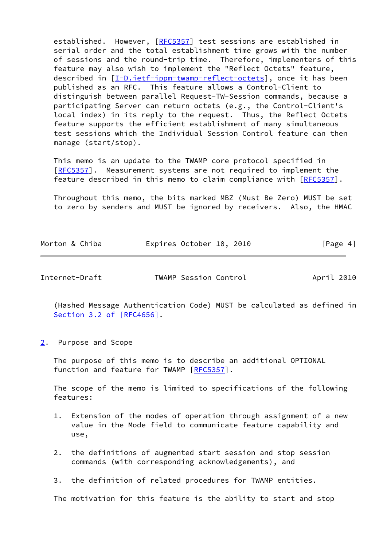established. However, [\[RFC5357](https://datatracker.ietf.org/doc/pdf/rfc5357)] test sessions are established in serial order and the total establishment time grows with the number of sessions and the round-trip time. Therefore, implementers of this feature may also wish to implement the "Reflect Octets" feature, described in [\[I-D.ietf-ippm-twamp-reflect-octets\]](#page-18-5), once it has been published as an RFC. This feature allows a Control-Client to distinguish between parallel Request-TW-Session commands, because a participating Server can return octets (e.g., the Control-Client's local index) in its reply to the request. Thus, the Reflect Octets feature supports the efficient establishment of many simultaneous test sessions which the Individual Session Control feature can then manage (start/stop).

 This memo is an update to the TWAMP core protocol specified in [\[RFC5357](https://datatracker.ietf.org/doc/pdf/rfc5357)]. Measurement systems are not required to implement the feature described in this memo to claim compliance with [\[RFC5357](https://datatracker.ietf.org/doc/pdf/rfc5357)].

 Throughout this memo, the bits marked MBZ (Must Be Zero) MUST be set to zero by senders and MUST be ignored by receivers. Also, the HMAC

| Morton & Chiba | Expires October 10, 2010 |  |  |  | [Page 4] |
|----------------|--------------------------|--|--|--|----------|
|----------------|--------------------------|--|--|--|----------|

<span id="page-4-1"></span>Internet-Draft TWAMP Session Control April 2010

 (Hashed Message Authentication Code) MUST be calculated as defined in Section [3.2 of \[RFC4656\]](https://datatracker.ietf.org/doc/pdf/rfc4656#section-3.2).

<span id="page-4-0"></span>[2](#page-4-0). Purpose and Scope

 The purpose of this memo is to describe an additional OPTIONAL function and feature for TWAMP [\[RFC5357](https://datatracker.ietf.org/doc/pdf/rfc5357)].

 The scope of the memo is limited to specifications of the following features:

- 1. Extension of the modes of operation through assignment of a new value in the Mode field to communicate feature capability and use,
- 2. the definitions of augmented start session and stop session commands (with corresponding acknowledgements), and
- 3. the definition of related procedures for TWAMP entities.

The motivation for this feature is the ability to start and stop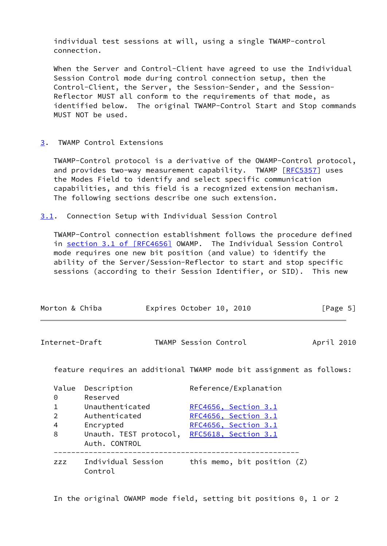individual test sessions at will, using a single TWAMP-control connection.

 When the Server and Control-Client have agreed to use the Individual Session Control mode during control connection setup, then the Control-Client, the Server, the Session-Sender, and the Session- Reflector MUST all conform to the requirements of that mode, as identified below. The original TWAMP-Control Start and Stop commands MUST NOT be used.

#### <span id="page-5-0"></span>[3](#page-5-0). TWAMP Control Extensions

 TWAMP-Control protocol is a derivative of the OWAMP-Control protocol, and provides two-way measurement capability. TWAMP [\[RFC5357](https://datatracker.ietf.org/doc/pdf/rfc5357)] uses the Modes Field to identify and select specific communication capabilities, and this field is a recognized extension mechanism. The following sections describe one such extension.

<span id="page-5-1"></span>[3.1](#page-5-1). Connection Setup with Individual Session Control

 TWAMP-Control connection establishment follows the procedure defined in section [3.1 of \[RFC4656\]](https://datatracker.ietf.org/doc/pdf/rfc4656#section-3.1) OWAMP. The Individual Session Control mode requires one new bit position (and value) to identify the ability of the Server/Session-Reflector to start and stop specific sessions (according to their Session Identifier, or SID). This new

<span id="page-5-2"></span>

| Morton & Chiba |                                                                      | Expires October 10, 2010 |                             | [Page 5]   |
|----------------|----------------------------------------------------------------------|--------------------------|-----------------------------|------------|
| Internet-Draft |                                                                      | TWAMP Session Control    |                             | April 2010 |
|                | feature requires an additional TWAMP mode bit assignment as follows: |                          |                             |            |
| Value          | Description                                                          |                          | Reference/Explanation       |            |
| 0              | Reserved                                                             |                          |                             |            |
| $\mathbf 1$    | Unauthenticated                                                      |                          | RFC4656, Section 3.1        |            |
| $\overline{2}$ | Authenticated                                                        |                          | RFC4656, Section 3.1        |            |
| 4              | Encrypted                                                            |                          | RFC4656, Section 3.1        |            |
| 8              | Unauth. TEST protocol, RFC5618, Section 3.1                          |                          |                             |            |
|                | Auth. CONTROL                                                        |                          |                             |            |
| <b>ZZZ</b>     | Individual Session<br>Control                                        |                          | this memo, bit position (Z) |            |

In the original OWAMP mode field, setting bit positions 0, 1 or 2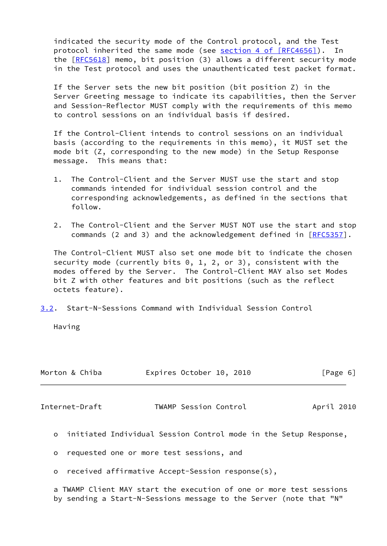indicated the security mode of the Control protocol, and the Test protocol inherited the same mode (see section [4 of \[RFC4656\]](https://datatracker.ietf.org/doc/pdf/rfc4656#section-4)). In the [\[RFC5618](https://datatracker.ietf.org/doc/pdf/rfc5618)] memo, bit position (3) allows a different security mode in the Test protocol and uses the unauthenticated test packet format.

 If the Server sets the new bit position (bit position Z) in the Server Greeting message to indicate its capabilities, then the Server and Session-Reflector MUST comply with the requirements of this memo to control sessions on an individual basis if desired.

 If the Control-Client intends to control sessions on an individual basis (according to the requirements in this memo), it MUST set the mode bit (Z, corresponding to the new mode) in the Setup Response message. This means that:

- 1. The Control-Client and the Server MUST use the start and stop commands intended for individual session control and the corresponding acknowledgements, as defined in the sections that follow.
- 2. The Control-Client and the Server MUST NOT use the start and stop commands (2 and 3) and the acknowledgement defined in [[RFC5357](https://datatracker.ietf.org/doc/pdf/rfc5357)].

 The Control-Client MUST also set one mode bit to indicate the chosen security mode (currently bits 0, 1, 2, or 3), consistent with the modes offered by the Server. The Control-Client MAY also set Modes bit Z with other features and bit positions (such as the reflect octets feature).

<span id="page-6-0"></span>[3.2](#page-6-0). Start-N-Sessions Command with Individual Session Control

Having

|         | Morton & Chiba |                                                                    | Expires October 10, 2010 |  | [Page 6]   |
|---------|----------------|--------------------------------------------------------------------|--------------------------|--|------------|
|         | Internet-Draft |                                                                    | TWAMP Session Control    |  | April 2010 |
|         |                | o initiated Individual Session Control mode in the Setup Response, |                          |  |            |
| $\circ$ |                | requested one or more test sessions, and                           |                          |  |            |
| $\circ$ |                | received affirmative Accept-Session response(s),                   |                          |  |            |

 a TWAMP Client MAY start the execution of one or more test sessions by sending a Start-N-Sessions message to the Server (note that "N"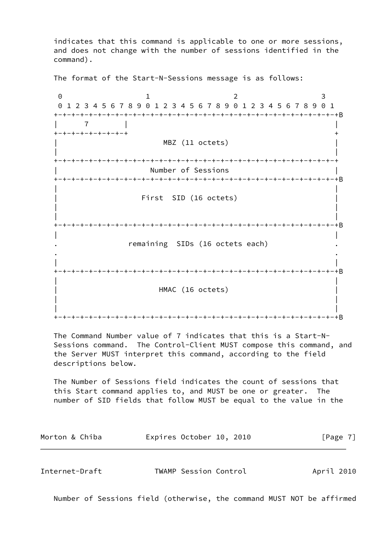indicates that this command is applicable to one or more sessions, and does not change with the number of sessions identified in the command).

The format of the Start-N-Sessions message is as follows:

0 1 2 3 0 1 2 3 4 5 6 7 8 9 0 1 2 3 4 5 6 7 8 9 0 1 2 3 4 5 6 7 8 9 0 1 +-+-+-+-+-+-+-+-+-+-+-+-+-+-+-+-+-+-+-+-+-+-+-+-+-+-+-+-+-+-+-+-+B | 7 | | +-+-+-+-+-+-+-+-+ + MBZ (11 octets) | | +-+-+-+-+-+-+-+-+-+-+-+-+-+-+-+-+-+-+-+-+-+-+-+-+-+-+-+-+-+-+-+-+ Number of Sessions +-+-+-+-+-+-+-+-+-+-+-+-+-+-+-+-+-+-+-+-+-+-+-+-+-+-+-+-+-+-+-+-+B | | First SID (16 octets) | | | | +-+-+-+-+-+-+-+-+-+-+-+-+-+-+-+-+-+-+-+-+-+-+-+-+-+-+-+-+-+-+-+-+B | | remaining SIDs (16 octets each) . . | | +-+-+-+-+-+-+-+-+-+-+-+-+-+-+-+-+-+-+-+-+-+-+-+-+-+-+-+-+-+-+-+-+B | | HMAC (16 octets) | | | | +-+-+-+-+-+-+-+-+-+-+-+-+-+-+-+-+-+-+-+-+-+-+-+-+-+-+-+-+-+-+-+-+B

 The Command Number value of 7 indicates that this is a Start-N- Sessions command. The Control-Client MUST compose this command, and the Server MUST interpret this command, according to the field descriptions below.

 The Number of Sessions field indicates the count of sessions that this Start command applies to, and MUST be one or greater. The number of SID fields that follow MUST be equal to the value in the

Morton & Chiba **Expires October 10, 2010** [Page 7]

<span id="page-7-0"></span>Internet-Draft TWAMP Session Control April 2010

Number of Sessions field (otherwise, the command MUST NOT be affirmed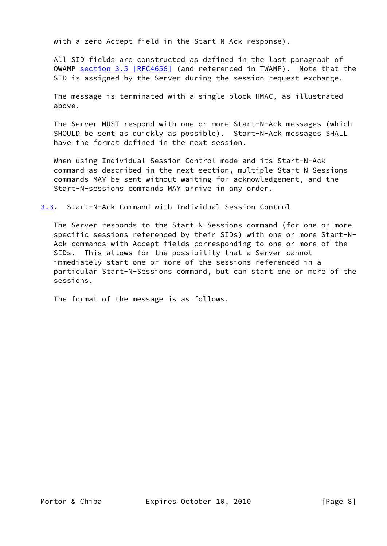with a zero Accept field in the Start-N-Ack response).

 All SID fields are constructed as defined in the last paragraph of OWAMP section [3.5 \[RFC4656\]](https://datatracker.ietf.org/doc/pdf/rfc4656#section-3.5) (and referenced in TWAMP). Note that the SID is assigned by the Server during the session request exchange.

 The message is terminated with a single block HMAC, as illustrated above.

 The Server MUST respond with one or more Start-N-Ack messages (which SHOULD be sent as quickly as possible). Start-N-Ack messages SHALL have the format defined in the next session.

 When using Individual Session Control mode and its Start-N-Ack command as described in the next section, multiple Start-N-Sessions commands MAY be sent without waiting for acknowledgement, and the Start-N-sessions commands MAY arrive in any order.

<span id="page-8-0"></span>[3.3](#page-8-0). Start-N-Ack Command with Individual Session Control

 The Server responds to the Start-N-Sessions command (for one or more specific sessions referenced by their SIDs) with one or more Start-N- Ack commands with Accept fields corresponding to one or more of the SIDs. This allows for the possibility that a Server cannot immediately start one or more of the sessions referenced in a particular Start-N-Sessions command, but can start one or more of the sessions.

The format of the message is as follows.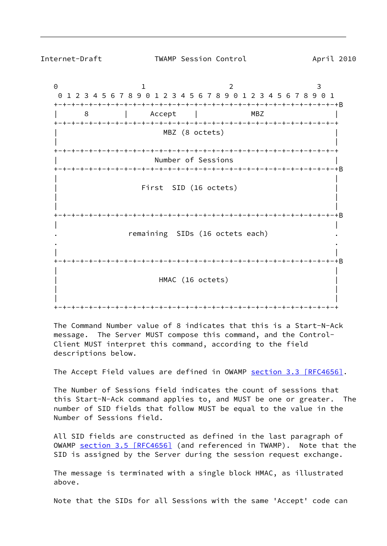Internet-Draft TWAMP Session Control April 2010

0 1 2 3 0 1 2 3 4 5 6 7 8 9 0 1 2 3 4 5 6 7 8 9 0 1 2 3 4 5 6 7 8 9 0 1 +-+-+-+-+-+-+-+-+-+-+-+-+-+-+-+-+-+-+-+-+-+-+-+-+-+-+-+-+-+-+-+-+B | 8 | Accept | MBZ | +-+-+-+-+-+-+-+-+-+-+-+-+-+-+-+-+-+-+-+-+-+-+-+-+-+-+-+-+-+-+-+-+ MBZ (8 octets) | | +-+-+-+-+-+-+-+-+-+-+-+-+-+-+-+-+-+-+-+-+-+-+-+-+-+-+-+-+-+-+-+-+ Number of Sessions +-+-+-+-+-+-+-+-+-+-+-+-+-+-+-+-+-+-+-+-+-+-+-+-+-+-+-+-+-+-+-+-+B | | First SID (16 octets) | | | | +-+-+-+-+-+-+-+-+-+-+-+-+-+-+-+-+-+-+-+-+-+-+-+-+-+-+-+-+-+-+-+-+B | | remaining SIDs (16 octets each) . . | | +-+-+-+-+-+-+-+-+-+-+-+-+-+-+-+-+-+-+-+-+-+-+-+-+-+-+-+-+-+-+-+-+B | | HMAC (16 octets) | | | | +-+-+-+-+-+-+-+-+-+-+-+-+-+-+-+-+-+-+-+-+-+-+-+-+-+-+-+-+-+-+-+-+

 The Command Number value of 8 indicates that this is a Start-N-Ack message. The Server MUST compose this command, and the Control- Client MUST interpret this command, according to the field descriptions below.

The Accept Field values are defined in OWAMP section [3.3 \[RFC4656\]](https://datatracker.ietf.org/doc/pdf/rfc4656#section-3.3).

 The Number of Sessions field indicates the count of sessions that this Start-N-Ack command applies to, and MUST be one or greater. The number of SID fields that follow MUST be equal to the value in the Number of Sessions field.

 All SID fields are constructed as defined in the last paragraph of OWAMP section [3.5 \[RFC4656\]](https://datatracker.ietf.org/doc/pdf/rfc4656#section-3.5) (and referenced in TWAMP). Note that the SID is assigned by the Server during the session request exchange.

 The message is terminated with a single block HMAC, as illustrated above.

Note that the SIDs for all Sessions with the same 'Accept' code can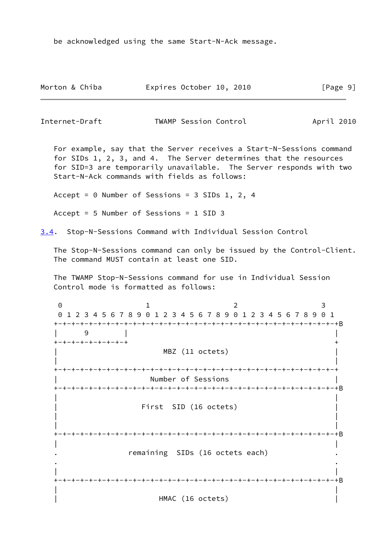be acknowledged using the same Start-N-Ack message.

| Morton & Chiba | Expires October 10, 2010 | [Page 9] |
|----------------|--------------------------|----------|
|----------------|--------------------------|----------|

Internet-Draft TWAMP Session Control April 2010

 For example, say that the Server receives a Start-N-Sessions command for SIDs 1, 2, 3, and 4. The Server determines that the resources for SID=3 are temporarily unavailable. The Server responds with two Start-N-Ack commands with fields as follows:

Accept = 0 Number of Sessions = 3 SIDs 1, 2, 4

Accept = 5 Number of Sessions = 1 SID 3

<span id="page-10-0"></span>[3.4](#page-10-0). Stop-N-Sessions Command with Individual Session Control

 The Stop-N-Sessions command can only be issued by the Control-Client. The command MUST contain at least one SID.

 The TWAMP Stop-N-Sessions command for use in Individual Session Control mode is formatted as follows:

0 1 2 3 0 1 2 3 4 5 6 7 8 9 0 1 2 3 4 5 6 7 8 9 0 1 2 3 4 5 6 7 8 9 0 1 +-+-+-+-+-+-+-+-+-+-+-+-+-+-+-+-+-+-+-+-+-+-+-+-+-+-+-+-+-+-+-+-+B | 9 | | +-+-+-+-+-+-+-+-+ + MBZ (11 octets) | | +-+-+-+-+-+-+-+-+-+-+-+-+-+-+-+-+-+-+-+-+-+-+-+-+-+-+-+-+-+-+-+-+ | Number of Sessions | +-+-+-+-+-+-+-+-+-+-+-+-+-+-+-+-+-+-+-+-+-+-+-+-+-+-+-+-+-+-+-+-+B | | First SID (16 octets) | | | | +-+-+-+-+-+-+-+-+-+-+-+-+-+-+-+-+-+-+-+-+-+-+-+-+-+-+-+-+-+-+-+-+B | | remaining SIDs (16 octets each) . . | | +-+-+-+-+-+-+-+-+-+-+-+-+-+-+-+-+-+-+-+-+-+-+-+-+-+-+-+-+-+-+-+-+B | | HMAC (16 octets)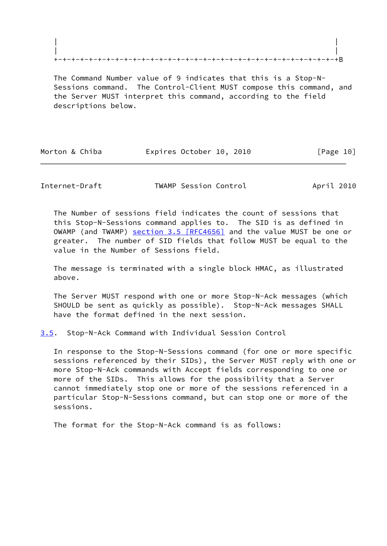The Command Number value of 9 indicates that this is a Stop-N- Sessions command. The Control-Client MUST compose this command, and the Server MUST interpret this command, according to the field descriptions below.

| Morton & Chiba |  | Expires October 10, 2010 |  |           |  |
|----------------|--|--------------------------|--|-----------|--|
|                |  |                          |  | [Page 10] |  |

<span id="page-11-1"></span>Internet-Draft TWAMP Session Control April 2010

 The Number of sessions field indicates the count of sessions that this Stop-N-Sessions command applies to. The SID is as defined in OWAMP (and TWAMP) section [3.5 \[RFC4656\]](https://datatracker.ietf.org/doc/pdf/rfc4656#section-3.5) and the value MUST be one or greater. The number of SID fields that follow MUST be equal to the value in the Number of Sessions field.

 The message is terminated with a single block HMAC, as illustrated above.

 The Server MUST respond with one or more Stop-N-Ack messages (which SHOULD be sent as quickly as possible). Stop-N-Ack messages SHALL have the format defined in the next session.

<span id="page-11-0"></span>[3.5](#page-11-0). Stop-N-Ack Command with Individual Session Control

 In response to the Stop-N-Sessions command (for one or more specific sessions referenced by their SIDs), the Server MUST reply with one or more Stop-N-Ack commands with Accept fields corresponding to one or more of the SIDs. This allows for the possibility that a Server cannot immediately stop one or more of the sessions referenced in a particular Stop-N-Sessions command, but can stop one or more of the sessions.

The format for the Stop-N-Ack command is as follows: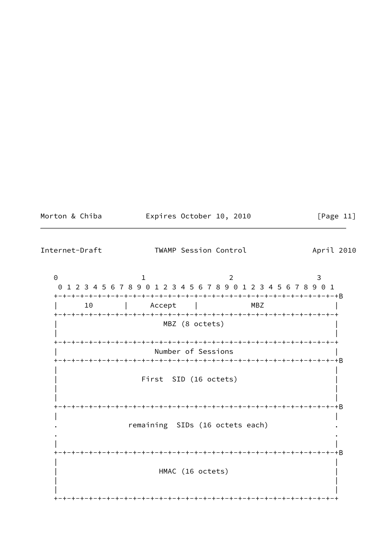| Morton & Chiba |  |  |
|----------------|--|--|
|                |  |  |

Expires October 10, 2010

[Page  $11$ ]

Internet-Draft TWAMP Session Control April 2010  $\Theta$  $\mathbf{1}$  $\overline{2}$  $\mathbf{3}$ 01234567890123456789012345678901  $10$ Accept **MBZ**  $\perp$  $\mathcal{L}$ MBZ (8 octets) Number of Sessions First SID (16 octets) remaining SIDs (16 octets each) HMAC (16 octets)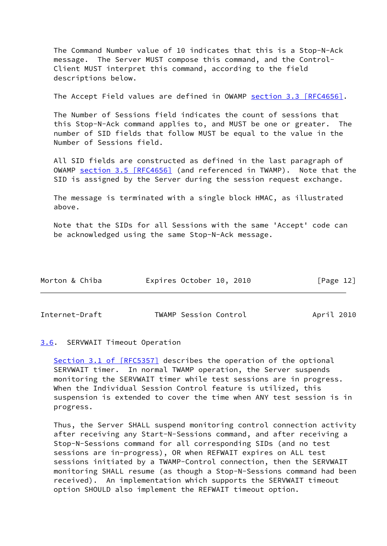The Command Number value of 10 indicates that this is a Stop-N-Ack message. The Server MUST compose this command, and the Control- Client MUST interpret this command, according to the field descriptions below.

The Accept Field values are defined in OWAMP section [3.3 \[RFC4656\]](https://datatracker.ietf.org/doc/pdf/rfc4656#section-3.3).

 The Number of Sessions field indicates the count of sessions that this Stop-N-Ack command applies to, and MUST be one or greater. The number of SID fields that follow MUST be equal to the value in the Number of Sessions field.

 All SID fields are constructed as defined in the last paragraph of OWAMP section [3.5 \[RFC4656\]](https://datatracker.ietf.org/doc/pdf/rfc4656#section-3.5) (and referenced in TWAMP). Note that the SID is assigned by the Server during the session request exchange.

 The message is terminated with a single block HMAC, as illustrated above.

 Note that the SIDs for all Sessions with the same 'Accept' code can be acknowledged using the same Stop-N-Ack message.

| Morton & Chiba | Expires October 10, 2010 | [Page 12] |
|----------------|--------------------------|-----------|
|                |                          |           |

<span id="page-13-1"></span>Internet-Draft TWAMP Session Control April 2010

# <span id="page-13-0"></span>[3.6](#page-13-0). SERVWAIT Timeout Operation

Section [3.1 of \[RFC5357\]](https://datatracker.ietf.org/doc/pdf/rfc5357#section-3.1) describes the operation of the optional SERVWAIT timer. In normal TWAMP operation, the Server suspends monitoring the SERVWAIT timer while test sessions are in progress. When the Individual Session Control feature is utilized, this suspension is extended to cover the time when ANY test session is in progress.

 Thus, the Server SHALL suspend monitoring control connection activity after receiving any Start-N-Sessions command, and after receiving a Stop-N-Sessions command for all corresponding SIDs (and no test sessions are in-progress), OR when REFWAIT expires on ALL test sessions initiated by a TWAMP-Control connection, then the SERVWAIT monitoring SHALL resume (as though a Stop-N-Sessions command had been received). An implementation which supports the SERVWAIT timeout option SHOULD also implement the REFWAIT timeout option.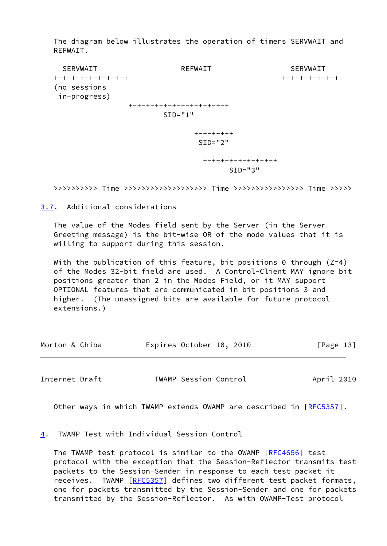The diagram below illustrates the operation of timers SERVWAIT and REFWAIT.

 SERVWAIT REFWAIT SERVWAIT +-+-+-+-+-+-+-+-+ +-+-+-+-+-+-+ (no sessions in-progress) +-+-+-+-+-+-+-+-+-+-+-+  $SID="1"$  +-+-+-+-+  $SID="2"$  +-+-+-+-+-+-+-+-+ SID="3"

>>>>>>>>>> Time >>>>>>>>>>>>>>>>>>> Time >>>>>>>>>>>>>>>> Time >>>>>

<span id="page-14-0"></span>[3.7](#page-14-0). Additional considerations

 The value of the Modes field sent by the Server (in the Server Greeting message) is the bit-wise OR of the mode values that it is willing to support during this session.

With the publication of this feature, bit positions 0 through  $(Z=4)$  of the Modes 32-bit field are used. A Control-Client MAY ignore bit positions greater than 2 in the Modes Field, or it MAY support OPTIONAL features that are communicated in bit positions 3 and higher. (The unassigned bits are available for future protocol extensions.)

| Morton & Chiba |  | Expires October 10, 2010 |  |  | [Page 13] |  |
|----------------|--|--------------------------|--|--|-----------|--|
|----------------|--|--------------------------|--|--|-----------|--|

<span id="page-14-2"></span>Internet-Draft TWAMP Session Control April 2010

Other ways in which TWAMP extends OWAMP are described in [\[RFC5357](https://datatracker.ietf.org/doc/pdf/rfc5357)].

<span id="page-14-1"></span>[4](#page-14-1). TWAMP Test with Individual Session Control

 The TWAMP test protocol is similar to the OWAMP [\[RFC4656](https://datatracker.ietf.org/doc/pdf/rfc4656)] test protocol with the exception that the Session-Reflector transmits test packets to the Session-Sender in response to each test packet it receives. TWAMP [\[RFC5357](https://datatracker.ietf.org/doc/pdf/rfc5357)] defines two different test packet formats, one for packets transmitted by the Session-Sender and one for packets transmitted by the Session-Reflector. As with OWAMP-Test protocol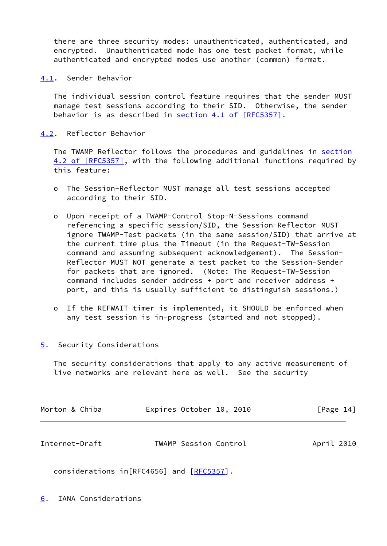there are three security modes: unauthenticated, authenticated, and encrypted. Unauthenticated mode has one test packet format, while authenticated and encrypted modes use another (common) format.

<span id="page-15-0"></span>[4.1](#page-15-0). Sender Behavior

 The individual session control feature requires that the sender MUST manage test sessions according to their SID. Otherwise, the sender behavior is as described in section [4.1 of \[RFC5357\].](https://datatracker.ietf.org/doc/pdf/rfc5357#section-4.1)

<span id="page-15-1"></span>[4.2](#page-15-1). Reflector Behavior

The TWAMP Reflector follows the procedures and guidelines in [section](https://datatracker.ietf.org/doc/pdf/rfc5357#section-4.2) [4.2 of \[RFC5357\]](https://datatracker.ietf.org/doc/pdf/rfc5357#section-4.2), with the following additional functions required by this feature:

- o The Session-Reflector MUST manage all test sessions accepted according to their SID.
- o Upon receipt of a TWAMP-Control Stop-N-Sessions command referencing a specific session/SID, the Session-Reflector MUST ignore TWAMP-Test packets (in the same session/SID) that arrive at the current time plus the Timeout (in the Request-TW-Session command and assuming subsequent acknowledgement). The Session- Reflector MUST NOT generate a test packet to the Session-Sender for packets that are ignored. (Note: The Request-TW-Session command includes sender address + port and receiver address + port, and this is usually sufficient to distinguish sessions.)
- o If the REFWAIT timer is implemented, it SHOULD be enforced when any test session is in-progress (started and not stopped).
- <span id="page-15-2"></span>[5](#page-15-2). Security Considerations

 The security considerations that apply to any active measurement of live networks are relevant here as well. See the security

<span id="page-15-4"></span>

| Morton & Chiba | Expires October 10, 2010 | [Page 14]  |
|----------------|--------------------------|------------|
| Internet-Draft | TWAMP Session Control    | April 2010 |

<span id="page-15-3"></span>considerations in [RFC4656] and [\[RFC5357](https://datatracker.ietf.org/doc/pdf/rfc5357)].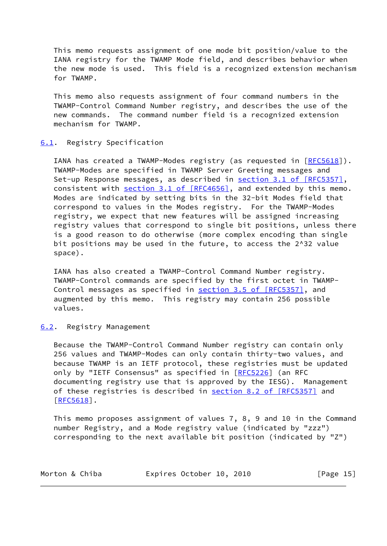This memo requests assignment of one mode bit position/value to the IANA registry for the TWAMP Mode field, and describes behavior when the new mode is used. This field is a recognized extension mechanism for TWAMP.

 This memo also requests assignment of four command numbers in the TWAMP-Control Command Number registry, and describes the use of the new commands. The command number field is a recognized extension mechanism for TWAMP.

## <span id="page-16-0"></span>[6.1](#page-16-0). Registry Specification

IANA has created a TWAMP-Modes registry (as requested in [\[RFC5618](https://datatracker.ietf.org/doc/pdf/rfc5618)]). TWAMP-Modes are specified in TWAMP Server Greeting messages and Set-up Response messages, as described in section [3.1 of \[RFC5357\]](https://datatracker.ietf.org/doc/pdf/rfc5357#section-3.1), consistent with section [3.1 of \[RFC4656\]](https://datatracker.ietf.org/doc/pdf/rfc4656#section-3.1), and extended by this memo. Modes are indicated by setting bits in the 32-bit Modes field that correspond to values in the Modes registry. For the TWAMP-Modes registry, we expect that new features will be assigned increasing registry values that correspond to single bit positions, unless there is a good reason to do otherwise (more complex encoding than single bit positions may be used in the future, to access the 2^32 value space).

 IANA has also created a TWAMP-Control Command Number registry. TWAMP-Control commands are specified by the first octet in TWAMP- Control messages as specified in section [3.5 of \[RFC5357\]](https://datatracker.ietf.org/doc/pdf/rfc5357#section-3.5), and augmented by this memo. This registry may contain 256 possible values.

# <span id="page-16-1"></span>[6.2](#page-16-1). Registry Management

 Because the TWAMP-Control Command Number registry can contain only 256 values and TWAMP-Modes can only contain thirty-two values, and because TWAMP is an IETF protocol, these registries must be updated only by "IETF Consensus" as specified in [\[RFC5226](https://datatracker.ietf.org/doc/pdf/rfc5226)] (an RFC documenting registry use that is approved by the IESG). Management of these registries is described in section [8.2 of \[RFC5357\]](https://datatracker.ietf.org/doc/pdf/rfc5357#section-8.2) and  $[REC5618]$ .

 This memo proposes assignment of values 7, 8, 9 and 10 in the Command number Registry, and a Mode registry value (indicated by "zzz") corresponding to the next available bit position (indicated by "Z")

| Morton & Chiba |  | Expires October 10, 2010 |  |  |  | [Page $15$ ] |  |
|----------------|--|--------------------------|--|--|--|--------------|--|
|----------------|--|--------------------------|--|--|--|--------------|--|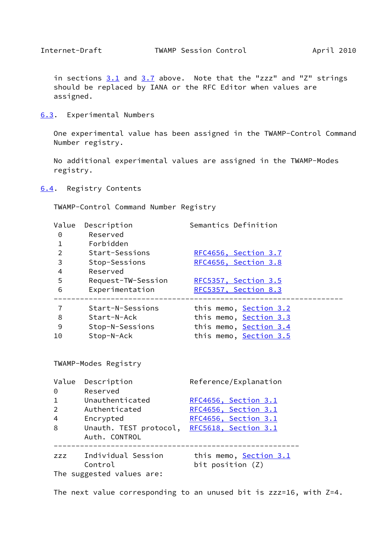<span id="page-17-1"></span>

in sections  $3.1$  and  $3.7$  above. Note that the "zzz" and "Z" strings should be replaced by IANA or the RFC Editor when values are assigned.

<span id="page-17-0"></span>[6.3](#page-17-0). Experimental Numbers

 One experimental value has been assigned in the TWAMP-Control Command Number registry.

 No additional experimental values are assigned in the TWAMP-Modes registry.

<span id="page-17-2"></span>[6.4](#page-17-2). Registry Contents

TWAMP-Control Command Number Registry

| Value<br>$\Theta$<br>$\mathbf{1}$ | Description<br>Reserved<br>Forbidden    | Semantics Definition                       |
|-----------------------------------|-----------------------------------------|--------------------------------------------|
| $\overline{2}$                    | Start-Sessions                          | RFC4656, Section 3.7                       |
| 3                                 | Stop-Sessions                           | RFC4656, Section 3.8                       |
| 4                                 | Reserved                                |                                            |
| 5                                 | Request-TW-Session                      | RFC5357, Section 3.5                       |
| $\,$ 6                            | Experimentation                         | RFC5357, Section 8.3                       |
| $\overline{7}$                    | Start-N-Sessions                        | this memo, Section 3.2                     |
| 8                                 | Start-N-Ack                             | this memo, Section 3.3                     |
| 9                                 | Stop-N-Sessions                         | this memo, Section 3.4                     |
| 10                                | Stop-N-Ack                              | this memo, Section 3.5                     |
| Value                             | TWAMP-Modes Registry<br>Description     | Reference/Explanation                      |
| $\Theta$                          | Reserved                                |                                            |
| $\mathbf{1}$                      | Unauthenticated                         | RFC4656, Section 3.1                       |
| $\overline{2}$                    | Authenticated                           | RFC4656, Section 3.1                       |
| $\overline{4}$                    | Encrypted                               | RFC4656, Section 3.1                       |
| 8                                 | Unauth. TEST protocol,<br>Auth. CONTROL | RFC5618, Section 3.1                       |
| <b>ZZZ</b>                        | Individual Session<br>Control           | this memo, Section 3.1<br>bit position (Z) |
|                                   | The suggested values are:               |                                            |

The next value corresponding to an unused bit is zzz=16, with Z=4.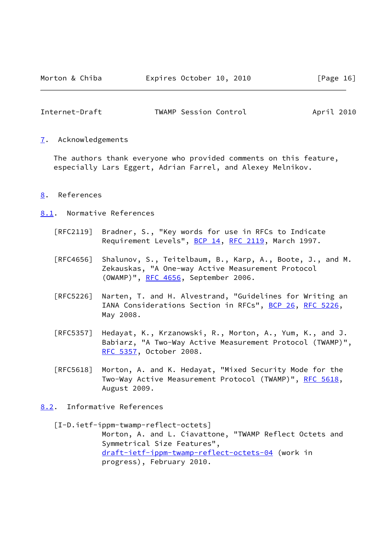<span id="page-18-1"></span>

| Internet-Draft | TWAMP Session Control | April 2010 |  |
|----------------|-----------------------|------------|--|
|                |                       |            |  |

<span id="page-18-0"></span>[7](#page-18-0). Acknowledgements

 The authors thank everyone who provided comments on this feature, especially Lars Eggert, Adrian Farrel, and Alexey Melnikov.

- <span id="page-18-2"></span>[8](#page-18-2). References
- <span id="page-18-3"></span>[8.1](#page-18-3). Normative References
	- [RFC2119] Bradner, S., "Key words for use in RFCs to Indicate Requirement Levels", [BCP 14](https://datatracker.ietf.org/doc/pdf/bcp14), [RFC 2119](https://datatracker.ietf.org/doc/pdf/rfc2119), March 1997.
	- [RFC4656] Shalunov, S., Teitelbaum, B., Karp, A., Boote, J., and M. Zekauskas, "A One-way Active Measurement Protocol (OWAMP)", [RFC 4656](https://datatracker.ietf.org/doc/pdf/rfc4656), September 2006.
	- [RFC5226] Narten, T. and H. Alvestrand, "Guidelines for Writing an IANA Considerations Section in RFCs", [BCP 26](https://datatracker.ietf.org/doc/pdf/bcp26), [RFC 5226](https://datatracker.ietf.org/doc/pdf/rfc5226), May 2008.
	- [RFC5357] Hedayat, K., Krzanowski, R., Morton, A., Yum, K., and J. Babiarz, "A Two-Way Active Measurement Protocol (TWAMP)", [RFC 5357,](https://datatracker.ietf.org/doc/pdf/rfc5357) October 2008.
	- [RFC5618] Morton, A. and K. Hedayat, "Mixed Security Mode for the Two-Way Active Measurement Protocol (TWAMP)", [RFC 5618](https://datatracker.ietf.org/doc/pdf/rfc5618), August 2009.
- <span id="page-18-4"></span>[8.2](#page-18-4). Informative References

<span id="page-18-5"></span> [I-D.ietf-ippm-twamp-reflect-octets] Morton, A. and L. Ciavattone, "TWAMP Reflect Octets and Symmetrical Size Features", [draft-ietf-ippm-twamp-reflect-octets-04](https://datatracker.ietf.org/doc/pdf/draft-ietf-ippm-twamp-reflect-octets-04) (work in progress), February 2010.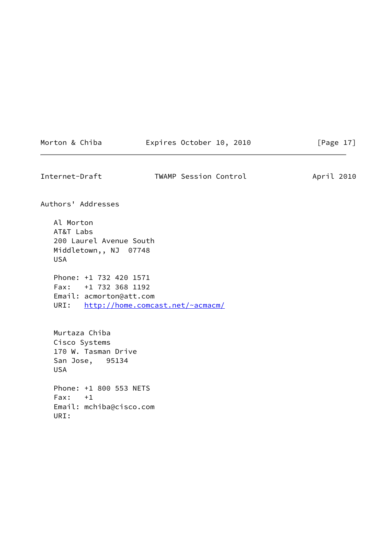|  |  | Morton & Chiba |  |
|--|--|----------------|--|
|  |  |                |  |

Morton & Chiba **Expires October 10, 2010** [Page 17]

Internet-Draft TWAMP Session Control April 2010 Authors' Addresses Al Morton AT&T Labs 200 Laurel Avenue South Middletown,, NJ 07748 USA Phone: +1 732 420 1571 Fax: +1 732 368 1192 Email: acmorton@att.com URI: <http://home.comcast.net/~acmacm/> Murtaza Chiba Cisco Systems 170 W. Tasman Drive San Jose, 95134 USA Phone: +1 800 553 NETS Fax: +1 Email: mchiba@cisco.com URI: